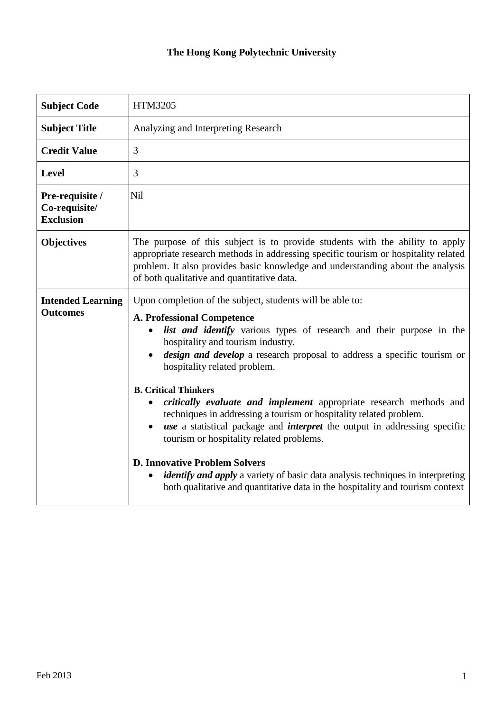## **The Hong Kong Polytechnic University**

| <b>Subject Code</b>                                  | <b>HTM3205</b>                                                                                                                                                                                                                                                                                                                                                                                                                                                                                                                                                                                                                                                                                                                                                            |  |
|------------------------------------------------------|---------------------------------------------------------------------------------------------------------------------------------------------------------------------------------------------------------------------------------------------------------------------------------------------------------------------------------------------------------------------------------------------------------------------------------------------------------------------------------------------------------------------------------------------------------------------------------------------------------------------------------------------------------------------------------------------------------------------------------------------------------------------------|--|
| <b>Subject Title</b>                                 | Analyzing and Interpreting Research                                                                                                                                                                                                                                                                                                                                                                                                                                                                                                                                                                                                                                                                                                                                       |  |
| <b>Credit Value</b>                                  | 3                                                                                                                                                                                                                                                                                                                                                                                                                                                                                                                                                                                                                                                                                                                                                                         |  |
| <b>Level</b>                                         | 3                                                                                                                                                                                                                                                                                                                                                                                                                                                                                                                                                                                                                                                                                                                                                                         |  |
| Pre-requisite /<br>Co-requisite/<br><b>Exclusion</b> | Nil                                                                                                                                                                                                                                                                                                                                                                                                                                                                                                                                                                                                                                                                                                                                                                       |  |
| <b>Objectives</b>                                    | The purpose of this subject is to provide students with the ability to apply<br>appropriate research methods in addressing specific tourism or hospitality related<br>problem. It also provides basic knowledge and understanding about the analysis<br>of both qualitative and quantitative data.                                                                                                                                                                                                                                                                                                                                                                                                                                                                        |  |
| <b>Intended Learning</b><br><b>Outcomes</b>          | Upon completion of the subject, students will be able to:<br><b>A. Professional Competence</b><br>list and identify various types of research and their purpose in the<br>hospitality and tourism industry.<br>design and develop a research proposal to address a specific tourism or<br>hospitality related problem.<br><b>B. Critical Thinkers</b><br>critically evaluate and implement appropriate research methods and<br>techniques in addressing a tourism or hospitality related problem.<br><i>use</i> a statistical package and <i>interpret</i> the output in addressing specific<br>tourism or hospitality related problems.<br><b>D. Innovative Problem Solvers</b><br><i>identify and apply</i> a variety of basic data analysis techniques in interpreting |  |
|                                                      | both qualitative and quantitative data in the hospitality and tourism context                                                                                                                                                                                                                                                                                                                                                                                                                                                                                                                                                                                                                                                                                             |  |